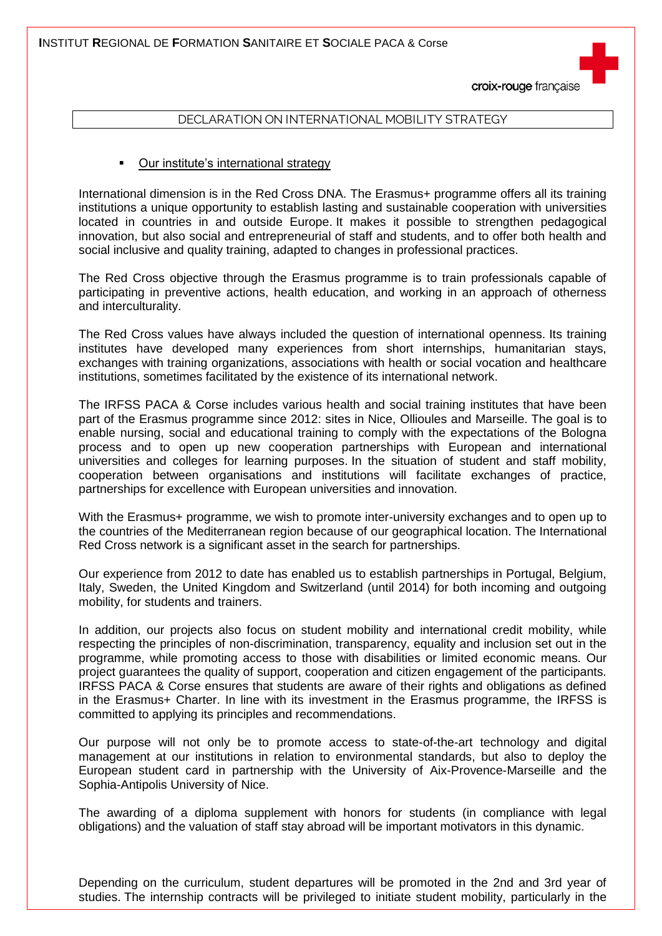croix-rouge française

## DECLARATION ON INTERNATIONAL MOBILITY STRATEGY

## **•** Our institute's international strategy

International dimension is in the Red Cross DNA. The Erasmus+ programme offers all its training institutions a unique opportunity to establish lasting and sustainable cooperation with universities located in countries in and outside Europe. It makes it possible to strengthen pedagogical innovation, but also social and entrepreneurial of staff and students, and to offer both health and social inclusive and quality training, adapted to changes in professional practices.

The Red Cross objective through the Erasmus programme is to train professionals capable of participating in preventive actions, health education, and working in an approach of otherness and interculturality.

The Red Cross values have always included the question of international openness. Its training institutes have developed many experiences from short internships, humanitarian stays, exchanges with training organizations, associations with health or social vocation and healthcare institutions, sometimes facilitated by the existence of its international network.

The IRFSS PACA & Corse includes various health and social training institutes that have been part of the Erasmus programme since 2012: sites in Nice, Ollioules and Marseille. The goal is to enable nursing, social and educational training to comply with the expectations of the Bologna process and to open up new cooperation partnerships with European and international universities and colleges for learning purposes. In the situation of student and staff mobility, cooperation between organisations and institutions will facilitate exchanges of practice, partnerships for excellence with European universities and innovation.

With the Erasmus+ programme, we wish to promote inter-university exchanges and to open up to the countries of the Mediterranean region because of our geographical location. The International Red Cross network is a significant asset in the search for partnerships.

Our experience from 2012 to date has enabled us to establish partnerships in Portugal, Belgium, Italy, Sweden, the United Kingdom and Switzerland (until 2014) for both incoming and outgoing mobility, for students and trainers.

In addition, our projects also focus on student mobility and international credit mobility, while respecting the principles of non-discrimination, transparency, equality and inclusion set out in the programme, while promoting access to those with disabilities or limited economic means. Our project guarantees the quality of support, cooperation and citizen engagement of the participants. IRFSS PACA & Corse ensures that students are aware of their rights and obligations as defined in the Erasmus+ Charter. In line with its investment in the Erasmus programme, the IRFSS is committed to applying its principles and recommendations.

Our purpose will not only be to promote access to state-of-the-art technology and digital management at our institutions in relation to environmental standards, but also to deploy the European student card in partnership with the University of Aix-Provence-Marseille and the Sophia-Antipolis University of Nice.

The awarding of a diploma supplement with honors for students (in compliance with legal obligations) and the valuation of staff stay abroad will be important motivators in this dynamic.

Depending on the curriculum, student departures will be promoted in the 2nd and 3rd year of studies. The internship contracts will be privileged to initiate student mobility, particularly in the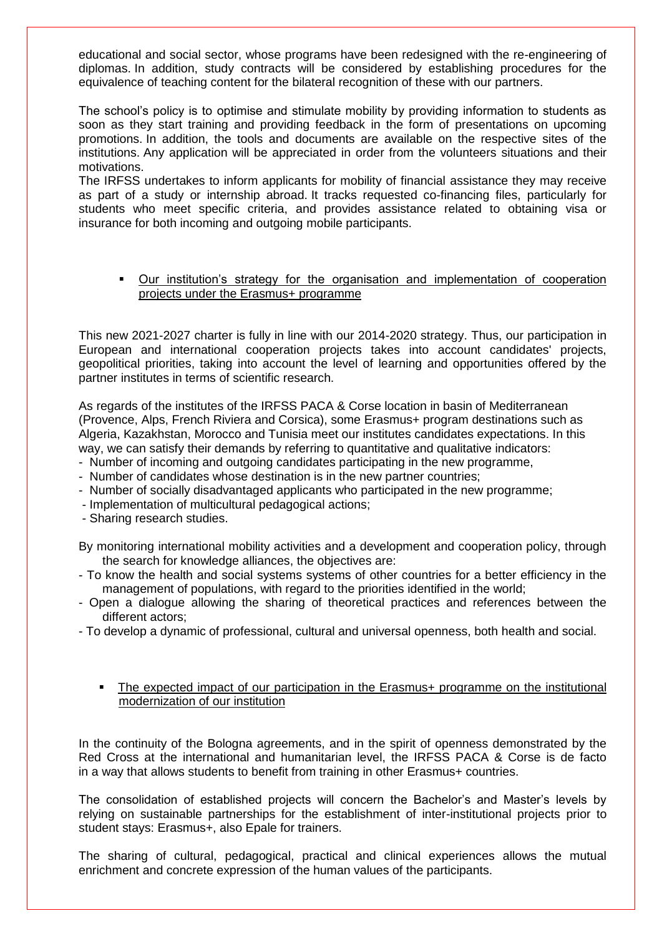educational and social sector, whose programs have been redesigned with the re-engineering of diplomas. In addition, study contracts will be considered by establishing procedures for the equivalence of teaching content for the bilateral recognition of these with our partners.

The school's policy is to optimise and stimulate mobility by providing information to students as soon as they start training and providing feedback in the form of presentations on upcoming promotions. In addition, the tools and documents are available on the respective sites of the institutions. Any application will be appreciated in order from the volunteers situations and their motivations.

The IRFSS undertakes to inform applicants for mobility of financial assistance they may receive as part of a study or internship abroad. It tracks requested co-financing files, particularly for students who meet specific criteria, and provides assistance related to obtaining visa or insurance for both incoming and outgoing mobile participants.

## Our institution's strategy for the organisation and implementation of cooperation projects under the Erasmus+ programme

This new 2021-2027 charter is fully in line with our 2014-2020 strategy. Thus, our participation in European and international cooperation projects takes into account candidates' projects, geopolitical priorities, taking into account the level of learning and opportunities offered by the partner institutes in terms of scientific research.

As regards of the institutes of the IRFSS PACA & Corse location in basin of Mediterranean (Provence, Alps, French Riviera and Corsica), some Erasmus+ program destinations such as Algeria, Kazakhstan, Morocco and Tunisia meet our institutes candidates expectations. In this way, we can satisfy their demands by referring to quantitative and qualitative indicators:

- Number of incoming and outgoing candidates participating in the new programme,
- Number of candidates whose destination is in the new partner countries;
- Number of socially disadvantaged applicants who participated in the new programme;
- Implementation of multicultural pedagogical actions;
- Sharing research studies.

By monitoring international mobility activities and a development and cooperation policy, through the search for knowledge alliances, the objectives are:

- To know the health and social systems systems of other countries for a better efficiency in the management of populations, with regard to the priorities identified in the world;
- Open a dialogue allowing the sharing of theoretical practices and references between the different actors;
- To develop a dynamic of professional, cultural and universal openness, both health and social.
	- The expected impact of our participation in the Erasmus+ programme on the institutional modernization of our institution

In the continuity of the Bologna agreements, and in the spirit of openness demonstrated by the Red Cross at the international and humanitarian level, the IRFSS PACA & Corse is de facto in a way that allows students to benefit from training in other Erasmus+ countries.

The consolidation of established projects will concern the Bachelor's and Master's levels by relying on sustainable partnerships for the establishment of inter-institutional projects prior to student stays: Erasmus+, also Epale for trainers.

The sharing of cultural, pedagogical, practical and clinical experiences allows the mutual enrichment and concrete expression of the human values of the participants.